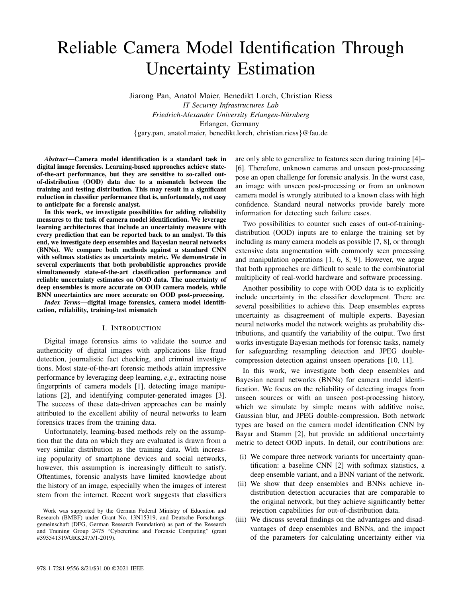# Reliable Camera Model Identification Through Uncertainty Estimation

Jiarong Pan, Anatol Maier, Benedikt Lorch, Christian Riess *IT Security Infrastructures Lab Friedrich-Alexander University Erlangen-Nurnberg ¨* Erlangen, Germany {gary.pan, anatol.maier, benedikt.lorch, christian.riess}@fau.de

*Abstract*—Camera model identification is a standard task in digital image forensics. Learning-based approaches achieve stateof-the-art performance, but they are sensitive to so-called outof-distribution (OOD) data due to a mismatch between the training and testing distribution. This may result in a significant reduction in classifier performance that is, unfortunately, not easy to anticipate for a forensic analyst.

In this work, we investigate possibilities for adding reliability measures to the task of camera model identification. We leverage learning architectures that include an uncertainty measure with every prediction that can be reported back to an analyst. To this end, we investigate deep ensembles and Bayesian neural networks (BNNs). We compare both methods against a standard CNN with softmax statistics as uncertainty metric. We demonstrate in several experiments that both probabilistic approaches provide simultaneously state-of-the-art classification performance and reliable uncertainty estimates on OOD data. The uncertainty of deep ensembles is more accurate on OOD camera models, while BNN uncertainties are more accurate on OOD post-processing.

*Index Terms*—digital image forensics, camera model identification, reliability, training-test mismatch

## I. INTRODUCTION

Digital image forensics aims to validate the source and authenticity of digital images with applications like fraud detection, journalistic fact checking, and criminal investigations. Most state-of-the-art forensic methods attain impressive performance by leveraging deep learning, *e.g*., extracting noise fingerprints of camera models [1], detecting image manipulations [2], and identifying computer-generated images [3]. The success of these data-driven approaches can be mainly attributed to the excellent ability of neural networks to learn forensics traces from the training data.

Unfortunately, learning-based methods rely on the assumption that the data on which they are evaluated is drawn from a very similar distribution as the training data. With increasing popularity of smartphone devices and social networks, however, this assumption is increasingly difficult to satisfy. Oftentimes, forensic analysts have limited knowledge about the history of an image, especially when the images of interest stem from the internet. Recent work suggests that classifiers

Work was supported by the German Federal Ministry of Education and Research (BMBF) under Grant No. 13N15319, and Deutsche Forschungsgemeinschaft (DFG, German Research Foundation) as part of the Research and Training Group 2475 "Cybercrime and Forensic Computing" (grant #393541319/GRK2475/1-2019).

are only able to generalize to features seen during training [4]– [6]. Therefore, unknown cameras and unseen post-processing pose an open challenge for forensic analysis. In the worst case, an image with unseen post-processing or from an unknown camera model is wrongly attributed to a known class with high confidence. Standard neural networks provide barely more information for detecting such failure cases.

Two possibilities to counter such cases of out-of-trainingdistribution (OOD) inputs are to enlarge the training set by including as many camera models as possible [7, 8], or through extensive data augmentation with commonly seen processing and manipulation operations [1, 6, 8, 9]. However, we argue that both approaches are difficult to scale to the combinatorial multiplicity of real-world hardware and software processing.

Another possibility to cope with OOD data is to explicitly include uncertainty in the classifier development. There are several possibilities to achieve this. Deep ensembles express uncertainty as disagreement of multiple experts. Bayesian neural networks model the network weights as probability distributions, and quantify the variability of the output. Two first works investigate Bayesian methods for forensic tasks, namely for safeguarding resampling detection and JPEG doublecompression detection against unseen operations [10, 11].

In this work, we investigate both deep ensembles and Bayesian neural networks (BNNs) for camera model identification. We focus on the reliability of detecting images from unseen sources or with an unseen post-processing history, which we simulate by simple means with additive noise, Gaussian blur, and JPEG double-compression. Both network types are based on the camera model identification CNN by Bayar and Stamm [2], but provide an additional uncertainty metric to detect OOD inputs. In detail, our contributions are:

- (i) We compare three network variants for uncertainty quantification: a baseline CNN [2] with softmax statistics, a deep ensemble variant, and a BNN variant of the network.
- (ii) We show that deep ensembles and BNNs achieve indistribution detection accuracies that are comparable to the original network, but they achieve significantly better rejection capabilities for out-of-distribution data.
- (iii) We discuss several findings on the advantages and disadvantages of deep ensembles and BNNs, and the impact of the parameters for calculating uncertainty either via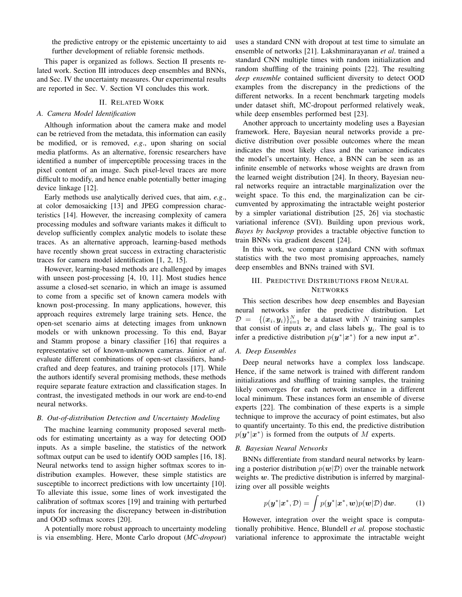the predictive entropy or the epistemic uncertainty to aid further development of reliable forensic methods.

This paper is organized as follows. Section II presents related work. Section III introduces deep ensembles and BNNs, and Sec. IV the uncertainty measures. Our experimental results are reported in Sec. V. Section VI concludes this work.

### II. RELATED WORK

## *A. Camera Model Identification*

Although information about the camera make and model can be retrieved from the metadata, this information can easily be modified, or is removed, *e.g*., upon sharing on social media platforms. As an alternative, forensic researchers have identified a number of imperceptible processing traces in the pixel content of an image. Such pixel-level traces are more difficult to modify, and hence enable potentially better imaging device linkage [12].

Early methods use analytically derived cues, that aim, *e.g*., at color demosaicking [13] and JPEG compression characteristics [14]. However, the increasing complexity of camera processing modules and software variants makes it difficult to develop sufficiently complex analytic models to isolate these traces. As an alternative approach, learning-based methods have recently shown great success in extracting characteristic traces for camera model identification [1, 2, 15].

However, learning-based methods are challenged by images with unseen post-processing [4, 10, 11]. Most studies hence assume a closed-set scenario, in which an image is assumed to come from a specific set of known camera models with known post-processing. In many applications, however, this approach requires extremely large training sets. Hence, the open-set scenario aims at detecting images from unknown models or with unknown processing. To this end, Bayar and Stamm propose a binary classifier [16] that requires a representative set of known-unknown cameras. Júnior et al. evaluate different combinations of open-set classifiers, handcrafted and deep features, and training protocols [17]. While the authors identify several promising methods, these methods require separate feature extraction and classification stages. In contrast, the investigated methods in our work are end-to-end neural networks.

## *B. Out-of-distribution Detection and Uncertainty Modeling*

The machine learning community proposed several methods for estimating uncertainty as a way for detecting OOD inputs. As a simple baseline, the statistics of the network softmax output can be used to identify OOD samples [16, 18]. Neural networks tend to assign higher softmax scores to indistribution examples. However, these simple statistics are susceptible to incorrect predictions with low uncertainty [10]. To alleviate this issue, some lines of work investigated the calibration of softmax scores [19] and training with perturbed inputs for increasing the discrepancy between in-distribution and OOD softmax scores [20].

A potentially more robust approach to uncertainty modeling is via ensembling. Here, Monte Carlo dropout (*MC-dropout*) uses a standard CNN with dropout at test time to simulate an ensemble of networks [21]. Lakshminarayanan *et al*. trained a standard CNN multiple times with random initialization and random shuffling of the training points [22]. The resulting *deep ensemble* contained sufficient diversity to detect OOD examples from the discrepancy in the predictions of the different networks. In a recent benchmark targeting models under dataset shift, MC-dropout performed relatively weak, while deep ensembles performed best [23].

Another approach to uncertainty modeling uses a Bayesian framework. Here, Bayesian neural networks provide a predictive distribution over possible outcomes where the mean indicates the most likely class and the variance indicates the model's uncertainty. Hence, a BNN can be seen as an infinite ensemble of networks whose weights are drawn from the learned weight distribution [24]. In theory, Bayesian neural networks require an intractable marginalization over the weight space. To this end, the marginalization can be circumvented by approximating the intractable weight posterior by a simpler variational distribution [25, 26] via stochastic variational inference (SVI). Building upon previous work, *Bayes by backprop* provides a tractable objective function to train BNNs via gradient descent [24].

In this work, we compare a standard CNN with softmax statistics with the two most promising approaches, namely deep ensembles and BNNs trained with SVI.

## III. PREDICTIVE DISTRIBUTIONS FROM NEURAL **NETWORKS**

This section describes how deep ensembles and Bayesian neural networks infer the predictive distribution. Let  $D = \{(\boldsymbol{x}_i, \boldsymbol{y}_i)\}_{i=1}^N$  be a dataset with N training samples that consist of inputs  $x_i$  and class labels  $y_i$ . The goal is to infer a predictive distribution  $p(\mathbf{y}^*|\mathbf{x}^*)$  for a new input  $\mathbf{x}^*$ .

### *A. Deep Ensembles*

Deep neural networks have a complex loss landscape. Hence, if the same network is trained with different random initializations and shuffling of training samples, the training likely converges for each network instance in a different local minimum. These instances form an ensemble of diverse experts [22]. The combination of these experts is a simple technique to improve the accuracy of point estimates, but also to quantify uncertainty. To this end, the predictive distribution  $p(\mathbf{y}^*|\mathbf{x}^*)$  is formed from the outputs of M experts.

## *B. Bayesian Neural Networks*

BNNs differentiate from standard neural networks by learning a posterior distribution  $p(w|\mathcal{D})$  over the trainable network weights  $w$ . The predictive distribution is inferred by marginalizing over all possible weights

$$
p(\boldsymbol{y}^*|\boldsymbol{x}^*, \mathcal{D}) = \int p(\boldsymbol{y}^*|\boldsymbol{x}^*, \boldsymbol{w}) p(\boldsymbol{w}|\mathcal{D}) \, \mathrm{d}\boldsymbol{w}.
$$
 (1)

However, integration over the weight space is computationally prohibitive. Hence, Blundell *et al.* propose stochastic variational inference to approximate the intractable weight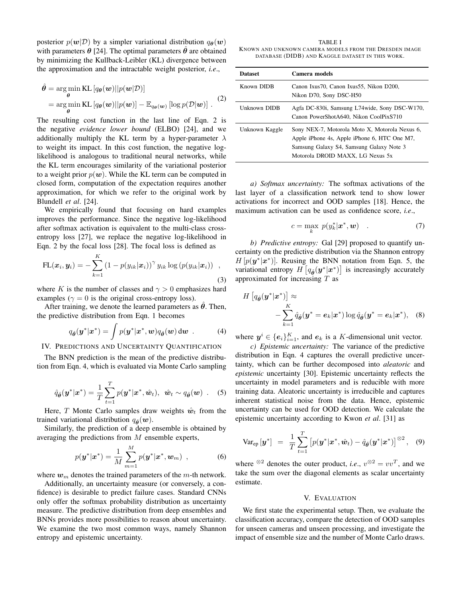posterior  $p(\mathbf{w}|\mathcal{D})$  by a simpler variational distribution  $q_{\theta}(\mathbf{w})$ with parameters  $\theta$  [24]. The optimal parameters  $\theta$  are obtained by minimizing the Kullback-Leibler (KL) divergence between the approximation and the intractable weight posterior, *i.e*.,

$$
\hat{\theta} = \underset{\theta}{\arg\min} \text{KL}\left[q_{\theta}(\boldsymbol{w})||p(\boldsymbol{w}|\mathcal{D})\right]
$$
  
= 
$$
\underset{\theta}{\arg\min} \text{KL}\left[q_{\theta}(\boldsymbol{w})||p(\boldsymbol{w})\right] - \mathbb{E}_{q_{\theta}(\boldsymbol{w})}\left[\log p(\mathcal{D}|\boldsymbol{w})\right].
$$
 (2)

The resulting cost function in the last line of Eqn. 2 is the negative *evidence lower bound* (ELBO) [24], and we additionally multiply the KL term by a hyper-parameter  $\lambda$ to weight its impact. In this cost function, the negative loglikelihood is analogous to traditional neural networks, while the KL term encourages similarity of the variational posterior to a weight prior  $p(w)$ . While the KL term can be computed in closed form, computation of the expectation requires another approximation, for which we refer to the original work by Blundell *et al*. [24].

We empirically found that focusing on hard examples improves the performance. Since the negative log-likelihood after softmax activation is equivalent to the multi-class crossentropy loss [27], we replace the negative log-likelihood in Eqn. 2 by the focal loss [28]. The focal loss is defined as

$$
\text{FL}(\boldsymbol{x}_i, \boldsymbol{y}_i) = -\sum_{k=1}^K \left(1 - p(y_{ik}|\boldsymbol{x}_i)\right)^{\gamma} y_{ik} \log \left(p(y_{ik}|\boldsymbol{x}_i)\right) ,\qquad (3)
$$

where K is the number of classes and  $\gamma > 0$  emphasizes hard examples ( $\gamma = 0$  is the original cross-entropy loss).

After training, we denote the learned parameters as  $\hat{\theta}$ . Then, the predictive distribution from Eqn. 1 becomes

$$
q_{\hat{\theta}}(\mathbf{y}^*|\mathbf{x}^*) = \int p(\mathbf{y}^*|\mathbf{x}^*, \mathbf{w}) q_{\hat{\theta}}(\mathbf{w}) \, \mathrm{d}\mathbf{w} \quad . \tag{4}
$$

IV. PREDICTIONS AND UNCERTAINTY QUANTIFICATION

The BNN prediction is the mean of the predictive distribution from Eqn. 4, which is evaluated via Monte Carlo sampling

$$
\hat{q}_{\hat{\theta}}(\boldsymbol{y}^*|\boldsymbol{x}^*) = \frac{1}{T} \sum_{t=1}^T p(\boldsymbol{y}^*|\boldsymbol{x}^*, \hat{\boldsymbol{w}}_t), \ \ \hat{\boldsymbol{w}}_t \sim q_{\hat{\theta}}(\boldsymbol{w}) \ \ . \tag{5}
$$

Here, T Monte Carlo samples draw weights  $\hat{w}_t$  from the trained variational distribution  $q_{\hat{\theta}}(\boldsymbol{w})$ .

Similarly, the prediction of a deep ensemble is obtained by averaging the predictions from M ensemble experts,

$$
p(\mathbf{y}^*|\mathbf{x}^*) = \frac{1}{M} \sum_{m=1}^{M} p(\mathbf{y}^*|\mathbf{x}^*, \mathbf{w}_m) , \qquad (6)
$$

where  $w_m$  denotes the trained parameters of the m-th network.

Additionally, an uncertainty measure (or conversely, a confidence) is desirable to predict failure cases. Standard CNNs only offer the softmax probability distribution as uncertainty measure. The predictive distribution from deep ensembles and BNNs provides more possibilities to reason about uncertainty. We examine the two most common ways, namely Shannon entropy and epistemic uncertainty.

TABLE I KNOWN AND UNKNOWN CAMERA MODELS FROM THE DRESDEN IMAGE DATABASE (DIDB) AND KAGGLE DATASET IN THIS WORK.

| <b>Dataset</b> | Camera models                                                                                                                                                                  |
|----------------|--------------------------------------------------------------------------------------------------------------------------------------------------------------------------------|
| Known DIDB     | Canon Ixus70, Canon Ixus55, Nikon D200,<br>Nikon D70, Sony DSC-H50                                                                                                             |
| Unknown DIDB   | Agfa DC-830i, Samsung L74wide, Sony DSC-W170,<br>Canon PowerShotA640. Nikon CoolPixS710                                                                                        |
| Unknown Kaggle | Sony NEX-7, Motorola Moto X, Motorola Nexus 6,<br>Apple iPhone 4s, Apple iPhone 6, HTC One M7,<br>Samsung Galaxy S4, Samsung Galaxy Note 3<br>Motorola DROID MAXX, LG Nexus 5x |

*a) Softmax uncertainty:* The softmax activations of the last layer of a classification network tend to show lower activations for incorrect and OOD samples [18]. Hence, the maximum activation can be used as confidence score, *i.e*.,

$$
c = \max_{k} \ p(y_k^* | \boldsymbol{x}^*, \boldsymbol{w}) \quad . \tag{7}
$$

*b) Predictive entropy:* Gal [29] proposed to quantify uncertainty on the predictive distribution via the Shannon entropy  $H[p(y^*|x^*)]$ . Reusing the BNN notation from Eqn. 5, the variational entropy  $H\left[q_{\hat{\theta}}(\boldsymbol{y}^*|\boldsymbol{x}^*)\right]$  is increasingly accurately approximated for increasing  $T$  as

$$
H\left[q_{\hat{\boldsymbol{\theta}}}(\boldsymbol{y}^*|\boldsymbol{x}^*)\right] \approx -\sum_{k=1}^K \hat{q}_{\hat{\boldsymbol{\theta}}}(\boldsymbol{y}^* = \boldsymbol{e}_k|\boldsymbol{x}^*) \log \hat{q}_{\hat{\boldsymbol{\theta}}}(\boldsymbol{y}^* = \boldsymbol{e}_k|\boldsymbol{x}^*), \quad (8)
$$

where  $y^i \in \{e_i\}_{i=1}^K$ , and  $e_k$  is a K-dimensional unit vector.

*c) Epistemic uncertainty:* The variance of the predictive distribution in Eqn. 4 captures the overall predictive uncertainty, which can be further decomposed into *aleatoric* and *epistemic* uncertainty [30]. Epistemic uncertainty reflects the uncertainty in model parameters and is reducible with more training data. Aleatoric uncertainty is irreducible and captures inherent statistical noise from the data. Hence, epistemic uncertainty can be used for OOD detection. We calculate the epistemic uncertainty according to Kwon *et al*. [31] as

$$
\text{Var}_{\text{ep}}\left[\boldsymbol{y}^*\right] = \frac{1}{T}\sum_{t=1}^T \left[p(\boldsymbol{y}^*|\boldsymbol{x}^*,\hat{\boldsymbol{w}}_t) - \hat{q}_{\hat{\boldsymbol{\theta}}}(\boldsymbol{y}^*|\boldsymbol{x}^*)\right]^{\otimes 2}, \quad (9)
$$

where <sup>⊗2</sup> denotes the outer product, *i.e.*,  $v^{\otimes 2} = vv^T$ , and we take the sum over the diagonal elements as scalar uncertainty estimate.

#### V. EVALUATION

We first state the experimental setup. Then, we evaluate the classification accuracy, compare the detection of OOD samples for unseen cameras and unseen processing, and investigate the impact of ensemble size and the number of Monte Carlo draws.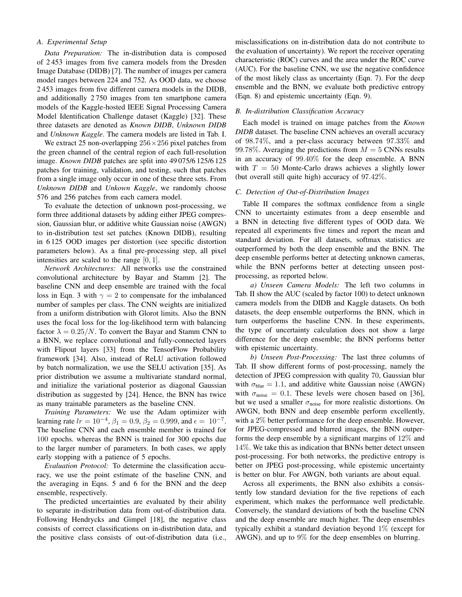## *A. Experimental Setup*

*Data Preparation:* The in-distribution data is composed of 2 453 images from five camera models from the Dresden Image Database (DIDB) [7]. The number of images per camera model ranges between 224 and 752. As OOD data, we choose 2 453 images from five different camera models in the DIDB, and additionally 2 750 images from ten smartphone camera models of the Kaggle-hosted IEEE Signal Processing Camera Model Identification Challenge dataset (Kaggle) [32]. These three datasets are denoted as *Known DIDB*, *Unknown DIDB* and *Unknown Kaggle*. The camera models are listed in Tab. I.

We extract 25 non-overlapping  $256 \times 256$  pixel patches from the green channel of the central region of each full-resolution image. *Known DIDB* patches are split into 49 075/6 125/6 125 patches for training, validation, and testing, such that patches from a single image only occur in one of these three sets. From *Unknown DIDB* and *Unkown Kaggle*, we randomly choose 576 and 256 patches from each camera model.

To evaluate the detection of unknown post-processing, we form three additional datasets by adding either JPEG compression, Gaussian blur, or additive white Gaussian noise (AWGN) to in-distribution test set patches (Known DIDB), resulting in 6 125 OOD images per distortion (see specific distortion parameters below). As a final pre-processing step, all pixel intensities are scaled to the range [0, 1].

*Network Architectures:* All networks use the constrained convolutional architecture by Bayar and Stamm [2]. The baseline CNN and deep ensemble are trained with the focal loss in Eqn. 3 with  $\gamma = 2$  to compensate for the imbalanced number of samples per class. The CNN weights are initialized from a uniform distribution with Glorot limits. Also the BNN uses the focal loss for the log-likelihood term with balancing factor  $\lambda = 0.25/N$ . To convert the Bayar and Stamm CNN to a BNN, we replace convolutional and fully-connected layers with Flipout layers [33] from the TensorFlow Probability framework [34]. Also, instead of ReLU activation followed by batch normalization, we use the SELU activation [35]. As prior distribution we assume a multivariate standard normal, and initialize the variational posterior as diagonal Gaussian distribution as suggested by [24]. Hence, the BNN has twice as many trainable parameters as the baseline CNN.

*Training Parameters:* We use the Adam optimizer with learning rate  $lr = 10^{-4}$ ,  $\beta_1 = 0.9$ ,  $\beta_2 = 0.999$ , and  $\epsilon = 10^{-7}$ . The baseline CNN and each ensemble member is trained for 100 epochs. whereas the BNN is trained for 300 epochs due to the larger number of parameters. In both cases, we apply early stopping with a patience of 5 epochs.

*Evaluation Protocol:* To determine the classification accuracy, we use the point estimate of the baseline CNN, and the averaging in Eqns. 5 and 6 for the BNN and the deep ensemble, respectively.

The predicted uncertainties are evaluated by their ability to separate in-distribution data from out-of-distribution data. Following Hendrycks and Gimpel [18], the negative class consists of correct classifications on in-distribution data, and the positive class consists of out-of-distribution data (i.e., misclassifications on in-distribution data do not contribute to the evaluation of uncertainty). We report the receiver operating characteristic (ROC) curves and the area under the ROC curve (AUC). For the baseline CNN, we use the negative confidence of the most likely class as uncertainty (Eqn. 7). For the deep ensemble and the BNN, we evaluate both predictive entropy (Eqn. 8) and epistemic uncertainty (Eqn. 9).

## *B. In-distribution Classification Accuracy*

Each model is trained on image patches from the *Known DIDB* dataset. The baseline CNN achieves an overall accuracy of 98.74%, and a per-class accuracy between 97.33% and 99.78%. Averaging the predictions from  $M = 5$  CNNs results in an accuracy of 99.40% for the deep ensemble. A BNN with  $T = 50$  Monte-Carlo draws achieves a slightly lower (but overall still quite high) accuracy of 97.42%.

#### *C. Detection of Out-of-Distribution Images*

Table II compares the softmax confidence from a single CNN to uncertainty estimates from a deep ensemble and a BNN in detecting five different types of OOD data. We repeated all experiments five times and report the mean and standard deviation. For all datasets, softmax statistics are outperformed by both the deep ensemble and the BNN. The deep ensemble performs better at detecting unknown cameras, while the BNN performs better at detecting unseen postprocessing, as reported below.

*a) Unseen Camera Models:* The left two columns in Tab. II show the AUC (scaled by factor 100) to detect unknown camera models from the DIDB and Kaggle datasets. On both datasets, the deep ensemble outperforms the BNN, which in turn outperforms the baseline CNN. In these experiments, the type of uncertainty calculation does not show a large difference for the deep ensemble; the BNN performs better with epistemic uncertainty.

*b) Unseen Post-Processing:* The last three columns of Tab. II show different forms of post-processing, namely the detection of JPEG compression with quality 70, Gaussian blur with  $\sigma_{\text{blur}} = 1.1$ , and additive white Gaussian noise (AWGN) with  $\sigma_{\text{noise}} = 0.1$ . These levels were chosen based on [36], but we used a smaller  $\sigma_{noise}$  for more realistic distortions. On AWGN, both BNN and deep ensemble perform excellently, with a 2% better performance for the deep ensemble. However, for JPEG-compressed and blurred images, the BNN outperforms the deep ensemble by a significant margins of 12% and 14%. We take this as indication that BNNs better detect unseen post-processing. For both networks, the predictive entropy is better on JPEG post-processing, while epistemic uncertainty is better on blur. For AWGN, both variants are about equal.

Across all experiments, the BNN also exhibits a consistently low standard deviation for the five repetions of each experiment, which makes the performance well predictable. Conversely, the standard deviations of both the baseline CNN and the deep ensemble are much higher. The deep ensembles typically exhibit a standard deviation beyond 1% (except for AWGN), and up to 9% for the deep ensembles on blurring.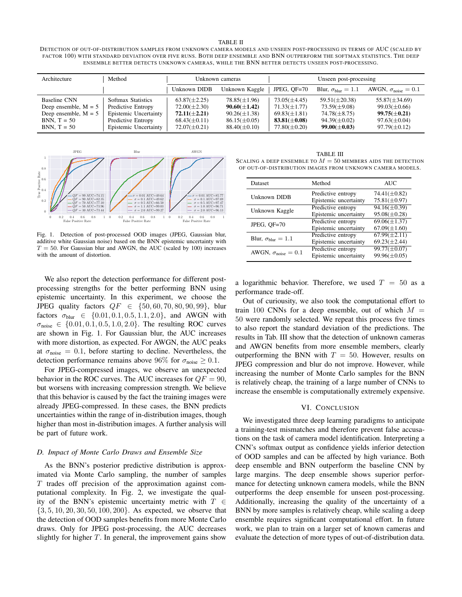#### TABLE II

DETECTION OF OUT-OF-DISTRIBUTION SAMPLES FROM UNKNOWN CAMERA MODELS AND UNSEEN POST-PROCESSING IN TERMS OF AUC (SCALED BY FACTOR 100) WITH STANDARD DEVIATION OVER FIVE RUNS. BOTH DEEP ENSEMBLE AND BNN OUTPERFORM THE SOFTMAX STATISTICS. THE DEEP ENSEMBLE BETTER DETECTS UNKNOWN CAMERAS, WHILE THE BNN BETTER DETECTS UNSEEN POST-PROCESSING.

| Architecture                                                                                       | Method                                                                                                           | Unknown cameras                                                                                     |                                                                                                     | Unseen post-processing                                                                              |                                                                                                   |                                                                                                        |
|----------------------------------------------------------------------------------------------------|------------------------------------------------------------------------------------------------------------------|-----------------------------------------------------------------------------------------------------|-----------------------------------------------------------------------------------------------------|-----------------------------------------------------------------------------------------------------|---------------------------------------------------------------------------------------------------|--------------------------------------------------------------------------------------------------------|
|                                                                                                    |                                                                                                                  | Unknown DIDB                                                                                        | Unknown Kaggle                                                                                      | JPEG. $OF=70$                                                                                       | Blur, $\sigma_{\text{blur}} = 1.1$                                                                | AWGN, $\sigma_{\text{noise}} = 0.1$                                                                    |
| Baseline CNN<br>Deep ensemble, $M = 5$<br>Deep ensemble, $M = 5$<br>$BNN, T = 50$<br>$BNN, T = 50$ | Softmax Statistics<br>Predictive Entropy<br>Epistemic Uncertainty<br>Predictive Entropy<br>Epistemic Uncertainty | $63.87(\pm2.25)$<br>$72.00(\pm2.30)$<br>$72.11(\pm 2.21)$<br>$68.43(\pm 0.11)$<br>$72.07(\pm 0.21)$ | $78.85(\pm1.96)$<br>$90.60(\pm1.42)$<br>$90.26(\pm 1.38)$<br>$86.15(\pm 0.05)$<br>$88.40(\pm 0.10)$ | $73.05(\pm4.45)$<br>$71.33(\pm 1.77)$<br>$69.83(\pm 1.81)$<br>$83.81(\pm0.08)$<br>$77.80(\pm 0.20)$ | $59.51(\pm 20.38)$<br>$73.59(\pm 9.08)$<br>74.78(±8.75)<br>$94.39(\pm 0.02)$<br>$99.00(\pm 0.03)$ | $55.87(\pm 34.69)$<br>$99.03(\pm 0.66)$<br>$99.75(\pm 0.21)$<br>$97.63(\pm 0.04)$<br>$97.79(\pm 0.12)$ |



Fig. 1. Detection of post-processed OOD images (JPEG, Gaussian blur, additive white Gaussian noise) based on the BNN epistemic uncertainty with  $T = 50$ . For Gaussian blur and AWGN, the AUC (scaled by 100) increases with the amount of distortion.

We also report the detection performance for different postprocessing strengths for the better performing BNN using epistemic uncertainty. In this experiment, we choose the JPEG quality factors  $QF \in \{50, 60, 70, 80, 90, 99\}$ , blur factors  $\sigma_{\text{blur}} \in \{0.01, 0.1, 0.5, 1.1, 2.0\}$ , and AWGN with  $\sigma_{\text{noise}} \in \{0.01, 0.1, 0.5, 1.0, 2.0\}$ . The resulting ROC curves are shown in Fig. 1. For Gaussian blur, the AUC increases with more distortion, as expected. For AWGN, the AUC peaks at  $\sigma_{\text{noise}} = 0.1$ , before starting to decline. Nevertheless, the detection performance remains above 96% for  $\sigma_{noise} \geq 0.1$ .

For JPEG-compressed images, we observe an unexpected behavior in the ROC curves. The AUC increases for  $QF = 90$ , but worsens with increasing compression strength. We believe that this behavior is caused by the fact the training images were already JPEG-compressed. In these cases, the BNN predicts uncertainties within the range of in-distribution images, though higher than most in-distribution images. A further analysis will be part of future work.

#### *D. Impact of Monte Carlo Draws and Ensemble Size*

As the BNN's posterior predictive distribution is approximated via Monte Carlo sampling, the number of samples  $T$  trades off precision of the approximation against computational complexity. In Fig. 2, we investigate the quality of the BNN's epistemic uncertainty metric with  $T \in$  $\{3, 5, 10, 20, 30, 50, 100, 200\}$ . As expected, we observe that the detection of OOD samples benefits from more Monte Carlo draws. Only for JPEG post-processing, the AUC decreases slightly for higher  $T$ . In general, the improvement gains show

TABLE III SCALING A DEEP ENSEMBLE TO  $M = 50$  members aids the detection OF OUT-OF-DISTRIBUTION IMAGES FROM UNKNOWN CAMERA MODELS.

| Dataset                             | Method                                      | <b>AUC</b>                              |
|-------------------------------------|---------------------------------------------|-----------------------------------------|
| Unknown DIDB                        | Predictive entropy<br>Epistemic uncertainty | 74.41( $\pm$ 0.82)<br>$75.81(\pm 0.97)$ |
| Unknown Kaggle                      | Predictive entropy<br>Epistemic uncertainty | $94.16(\pm 0.39)$<br>$95.08(\pm 0.28)$  |
| JPEG, $OF=70$                       | Predictive entropy<br>Epistemic uncertainty | $69.06(\pm 1.37)$<br>$67.09(\pm1.60)$   |
| Blur, $\sigma_{\text{blur}} = 1.1$  | Predictive entropy<br>Epistemic uncertainty | $67.99(\pm2.11)$<br>$69.23(\pm 2.44)$   |
| AWGN, $\sigma_{\text{noise}} = 0.1$ | Predictive entropy<br>Epistemic uncertainty | $99.77(\pm 0.07)$<br>$99.96(\pm 0.05)$  |

a logarithmic behavior. Therefore, we used  $T = 50$  as a performance trade-off.

Out of curiousity, we also took the computational effort to train 100 CNNs for a deep ensemble, out of which  $M =$ 50 were randomly selected. We repeat this process five times to also report the standard deviation of the predictions. The results in Tab. III show that the detection of unknown cameras and AWGN benefits from more ensemble members, clearly outperforming the BNN with  $T = 50$ . However, results on JPEG compression and blur do not improve. However, while increasing the number of Monte Carlo samples for the BNN is relatively cheap, the training of a large number of CNNs to increase the ensemble is computationally extremely expensive.

#### VI. CONCLUSION

We investigated three deep learning paradigms to anticipate a training-test mismatches and therefore prevent false accusations on the task of camera model identification. Interpreting a CNN's softmax output as confidence yields inferior detection of OOD samples and can be affected by high variance. Both deep ensemble and BNN outperform the baseline CNN by large margins. The deep ensemble shows superior performance for detecting unknown camera models, while the BNN outperforms the deep ensemble for unseen post-processing. Additionally, increasing the quality of the uncertainty of a BNN by more samples is relatively cheap, while scaling a deep ensemble requires significant computational effort. In future work, we plan to train on a larger set of known cameras and evaluate the detection of more types of out-of-distribution data.